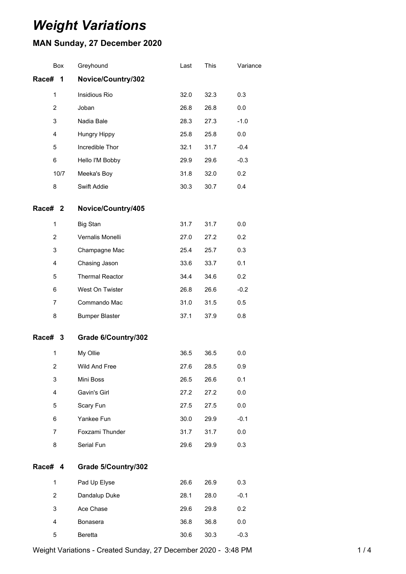# *Weight Variations*

## **MAN Sunday, 27 December 2020**

|                    | Box  | Greyhound              | Last | This | Variance |
|--------------------|------|------------------------|------|------|----------|
| Race#              | 1    | Novice/Country/302     |      |      |          |
| $\mathbf{1}$       |      | Insidious Rio          | 32.0 | 32.3 | 0.3      |
| $\overline{2}$     |      | Joban                  | 26.8 | 26.8 | 0.0      |
| 3                  |      | Nadia Bale             | 28.3 | 27.3 | $-1.0$   |
| 4                  |      | Hungry Hippy           | 25.8 | 25.8 | 0.0      |
| 5                  |      | Incredible Thor        | 32.1 | 31.7 | $-0.4$   |
| 6                  |      | Hello I'M Bobby        | 29.9 | 29.6 | $-0.3$   |
|                    | 10/7 | Meeka's Boy            | 31.8 | 32.0 | 0.2      |
| 8                  |      | Swift Addie            | 30.3 | 30.7 | 0.4      |
| Race# <sub>2</sub> |      | Novice/Country/405     |      |      |          |
| 1                  |      | <b>Big Stan</b>        | 31.7 | 31.7 | 0.0      |
| $\overline{2}$     |      | Vernalis Monelli       | 27.0 | 27.2 | 0.2      |
| 3                  |      | Champagne Mac          | 25.4 | 25.7 | 0.3      |
| 4                  |      | Chasing Jason          | 33.6 | 33.7 | 0.1      |
| 5                  |      | <b>Thermal Reactor</b> | 34.4 | 34.6 | 0.2      |
| 6                  |      | West On Twister        | 26.8 | 26.6 | $-0.2$   |
| 7                  |      | Commando Mac           | 31.0 | 31.5 | 0.5      |
| 8                  |      | <b>Bumper Blaster</b>  | 37.1 | 37.9 | 0.8      |
| Race# 3            |      | Grade 6/Country/302    |      |      |          |
| 1                  |      | My Ollie               | 36.5 | 36.5 | 0.0      |
| $\overline{2}$     |      | Wild And Free          | 27.6 | 28.5 | 0.9      |
| 3                  |      | Mini Boss              | 26.5 | 26.6 | 0.1      |
| 4                  |      | Gavin's Girl           | 27.2 | 27.2 | $0.0\,$  |
| 5                  |      | Scary Fun              | 27.5 | 27.5 | 0.0      |
| 6                  |      | Yankee Fun             | 30.0 | 29.9 | $-0.1$   |
| $\overline{7}$     |      | Foxzami Thunder        | 31.7 | 31.7 | 0.0      |
| 8                  |      | Serial Fun             | 29.6 | 29.9 | 0.3      |
| Race# 4            |      | Grade 5/Country/302    |      |      |          |
| 1                  |      | Pad Up Elyse           | 26.6 | 26.9 | 0.3      |
| $\overline{2}$     |      | Dandalup Duke          | 28.1 | 28.0 | $-0.1$   |
| 3                  |      | Ace Chase              | 29.6 | 29.8 | 0.2      |
| 4                  |      | Bonasera               | 36.8 | 36.8 | $0.0\,$  |
| 5                  |      | Beretta                | 30.6 | 30.3 | $-0.3$   |

Weight Variations - Created Sunday, 27 December 2020 - 3:48 PM 14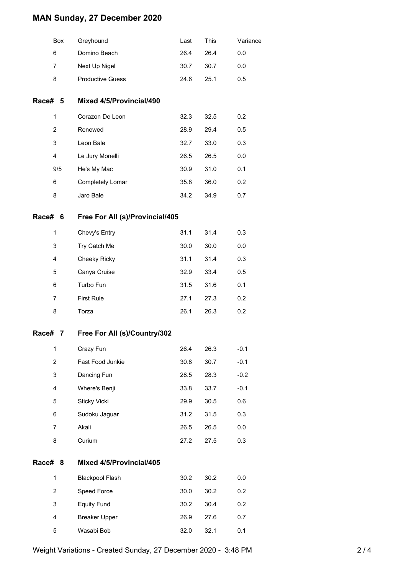## **MAN Sunday, 27 December 2020**

|         | Box            | Greyhound                       | Last | This | Variance |
|---------|----------------|---------------------------------|------|------|----------|
|         | 6              | Domino Beach                    | 26.4 | 26.4 | 0.0      |
|         | 7              | Next Up Nigel                   | 30.7 | 30.7 | 0.0      |
|         | 8              | <b>Productive Guess</b>         | 24.6 | 25.1 | 0.5      |
| Race# 5 |                | Mixed 4/5/Provincial/490        |      |      |          |
|         | 1              | Corazon De Leon                 | 32.3 | 32.5 | 0.2      |
|         | $\overline{c}$ | Renewed                         | 28.9 | 29.4 | 0.5      |
|         | 3              | Leon Bale                       | 32.7 | 33.0 | 0.3      |
|         | 4              | Le Jury Monelli                 | 26.5 | 26.5 | 0.0      |
|         | 9/5            | He's My Mac                     | 30.9 | 31.0 | 0.1      |
|         | 6              | Completely Lomar                | 35.8 | 36.0 | 0.2      |
|         | 8              | Jaro Bale                       | 34.2 | 34.9 | 0.7      |
| Race#   | 6              | Free For All (s)/Provincial/405 |      |      |          |
|         | $\mathbf{1}$   | Chevy's Entry                   | 31.1 | 31.4 | 0.3      |
|         | 3              | Try Catch Me                    | 30.0 | 30.0 | 0.0      |
|         | 4              | <b>Cheeky Ricky</b>             | 31.1 | 31.4 | 0.3      |
|         | 5              | Canya Cruise                    | 32.9 | 33.4 | 0.5      |
|         | 6              | Turbo Fun                       | 31.5 | 31.6 | 0.1      |
|         | $\overline{7}$ | <b>First Rule</b>               | 27.1 | 27.3 | 0.2      |
|         | 8              | Torza                           | 26.1 | 26.3 | 0.2      |
| Race#   | 7              | Free For All (s)/Country/302    |      |      |          |
|         | 1              | Crazy Fun                       | 26.4 | 26.3 | $-0.1$   |
|         | $\overline{2}$ | Fast Food Junkie                | 30.8 | 30.7 | $-0.1$   |
|         | 3              | Dancing Fun                     | 28.5 | 28.3 | $-0.2$   |
|         | 4              | Where's Benji                   | 33.8 | 33.7 | $-0.1$   |
|         | 5              | Sticky Vicki                    | 29.9 | 30.5 | 0.6      |
|         | 6              | Sudoku Jaguar                   | 31.2 | 31.5 | 0.3      |
|         | 7              | Akali                           | 26.5 | 26.5 | 0.0      |
|         | 8              | Curium                          | 27.2 | 27.5 | 0.3      |
| Race# 8 |                | Mixed 4/5/Provincial/405        |      |      |          |
|         | $\mathbf{1}$   | <b>Blackpool Flash</b>          | 30.2 | 30.2 | 0.0      |
|         | $\overline{2}$ | Speed Force                     | 30.0 | 30.2 | 0.2      |
|         | 3              | <b>Equity Fund</b>              | 30.2 | 30.4 | 0.2      |
|         | 4              | <b>Breaker Upper</b>            | 26.9 | 27.6 | 0.7      |
|         | 5              | Wasabi Bob                      | 32.0 | 32.1 | 0.1      |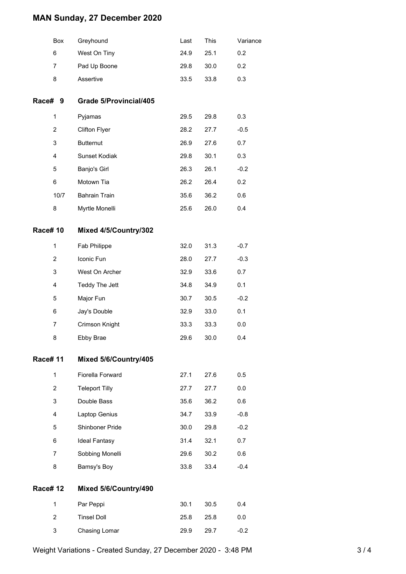## **MAN Sunday, 27 December 2020**

|                | Box            | Greyhound                     | Last | This | Variance |
|----------------|----------------|-------------------------------|------|------|----------|
|                | 6              | West On Tiny                  | 24.9 | 25.1 | 0.2      |
|                | 7              | Pad Up Boone                  | 29.8 | 30.0 | 0.2      |
|                | 8              | Assertive                     | 33.5 | 33.8 | 0.3      |
| Race# 9        |                | <b>Grade 5/Provincial/405</b> |      |      |          |
|                | $\mathbf{1}$   | Pyjamas                       | 29.5 | 29.8 | 0.3      |
|                | 2              | Clifton Flyer                 | 28.2 | 27.7 | $-0.5$   |
|                | 3              | <b>Butternut</b>              | 26.9 | 27.6 | 0.7      |
|                | 4              | Sunset Kodiak                 | 29.8 | 30.1 | 0.3      |
|                | 5              | Banjo's Girl                  | 26.3 | 26.1 | $-0.2$   |
|                | 6              | Motown Tia                    | 26.2 | 26.4 | 0.2      |
|                | 10/7           | <b>Bahrain Train</b>          | 35.6 | 36.2 | 0.6      |
|                | 8              | Myrtle Monelli                | 25.6 | 26.0 | 0.4      |
| <b>Race#10</b> |                | Mixed 4/5/Country/302         |      |      |          |
|                | $\mathbf{1}$   | Fab Philippe                  | 32.0 | 31.3 | $-0.7$   |
|                | $\overline{2}$ | Iconic Fun                    | 28.0 | 27.7 | $-0.3$   |
|                | 3              | West On Archer                | 32.9 | 33.6 | 0.7      |
|                | 4              | Teddy The Jett                | 34.8 | 34.9 | 0.1      |
|                | 5              | Major Fun                     | 30.7 | 30.5 | $-0.2$   |
|                | 6              | Jay's Double                  | 32.9 | 33.0 | 0.1      |
|                | 7              | Crimson Knight                | 33.3 | 33.3 | 0.0      |
|                | 8              | Ebby Brae                     | 29.6 | 30.0 | 0.4      |
| <b>Race#11</b> |                | Mixed 5/6/Country/405         |      |      |          |
|                | 1              | Fiorella Forward              | 27.1 | 27.6 | 0.5      |
|                | $\overline{2}$ | <b>Teleport Tilly</b>         | 27.7 | 27.7 | 0.0      |
|                | 3              | Double Bass                   | 35.6 | 36.2 | 0.6      |
|                | 4              | Laptop Genius                 | 34.7 | 33.9 | $-0.8$   |
|                | 5              | Shinboner Pride               | 30.0 | 29.8 | $-0.2$   |
|                | 6              | <b>Ideal Fantasy</b>          | 31.4 | 32.1 | 0.7      |
|                | 7              | Sobbing Monelli               | 29.6 | 30.2 | 0.6      |
|                | 8              | Bamsy's Boy                   | 33.8 | 33.4 | $-0.4$   |
| <b>Race#12</b> |                | Mixed 5/6/Country/490         |      |      |          |
|                | $\mathbf{1}$   | Par Peppi                     | 30.1 | 30.5 | 0.4      |
|                | $\overline{2}$ | <b>Tinsel Doll</b>            | 25.8 | 25.8 | 0.0      |
|                | 3              | Chasing Lomar                 | 29.9 | 29.7 | $-0.2$   |
|                |                |                               |      |      |          |

Weight Variations - Created Sunday, 27 December 2020 - 3:48 PM 3 / 4